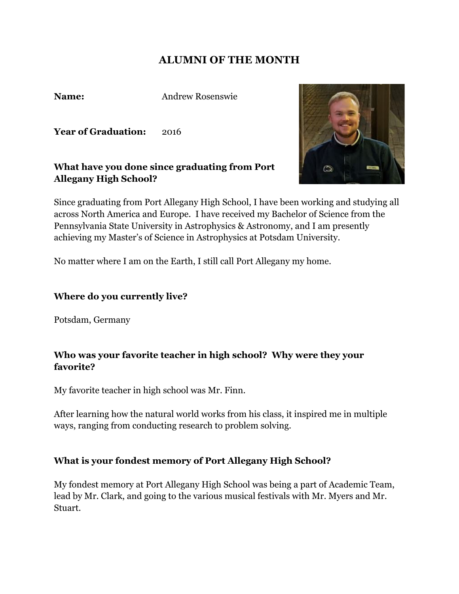# **ALUMNI OF THE MONTH**

Name:

**Name:** Andrew Rosenswie

**Year of Graduation:** 2016

## **What have you done since graduating from Port Allegany High School?**

 Since graduating from Port Allegany High School, I have been working and studying all across North America and Europe. I have received my Bachelor of Science from the Pennsylvania State University in Astrophysics & Astronomy, and I am presently achieving my Master's of Science in Astrophysics at Potsdam University.

No matter where I am on the Earth, I still call Port Allegany my home.

#### **Where do you currently live?**

Potsdam, Germany

### **Who was your favorite teacher in high school? Why were they your favorite?**

My favorite teacher in high school was Mr. Finn.

 After learning how the natural world works from his class, it inspired me in multiple ways, ranging from conducting research to problem solving.

## **What is your fondest memory of Port Allegany High School?**

 My fondest memory at Port Allegany High School was being a part of Academic Team, lead by Mr. Clark, and going to the various musical festivals with Mr. Myers and Mr. Stuart.